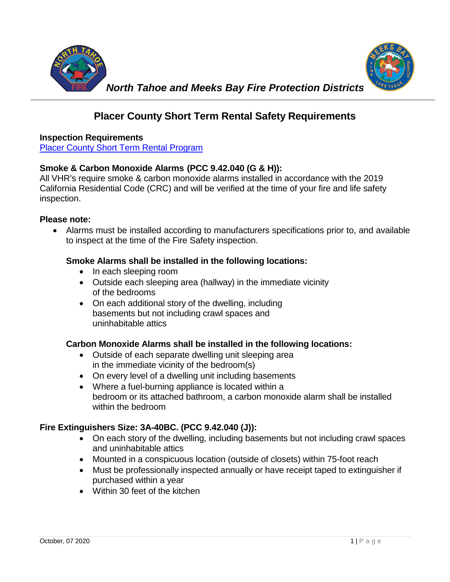



# **Placer County Short Term Rental Safety Requirements**

## **Inspection Requirements**

[Placer County Short Term Rental Program](https://www.placer.ca.gov/6109/Short-Term-Rental-Program)

# **Smoke & Carbon Monoxide Alarms (PCC 9.42.040 (G & H)):**

All VHR's require smoke & carbon monoxide alarms installed in accordance with the 2019 California Residential Code (CRC) and will be verified at the time of your fire and life safety inspection.

#### **Please note:**

• Alarms must be installed according to manufacturers specifications prior to, and available to inspect at the time of the Fire Safety inspection.

## **Smoke Alarms shall be installed in the following locations:**

- In each sleeping room
- Outside each sleeping area (hallway) in the immediate vicinity of the bedrooms
- On each additional story of the dwelling, including basements but not including crawl spaces and uninhabitable attics

## **Carbon Monoxide Alarms shall be installed in the following locations:**

- Outside of each separate dwelling unit sleeping area in the immediate vicinity of the bedroom(s)
- On every level of a dwelling unit including basements
- Where a fuel-burning appliance is located within a bedroom or its attached bathroom, a carbon monoxide alarm shall be installed within the bedroom

## **Fire Extinguishers Size: 3A-40BC. (PCC 9.42.040 (J)):**

- On each story of the dwelling, including basements but not including crawl spaces and uninhabitable attics
- Mounted in a conspicuous location (outside of closets) within 75-foot reach
- Must be professionally inspected annually or have receipt taped to extinguisher if purchased within a year
- Within 30 feet of the kitchen